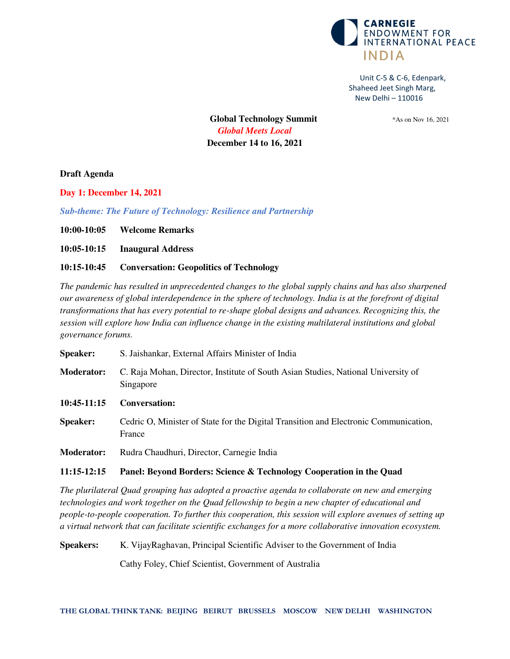

**Global Technology Summit** \*As on Nov 16, 2021 *Global Meets Local*  **December 14 to 16, 2021** 

**Draft Agenda** 

**Day 1: December 14, 2021** 

*Sub-theme: The Future of Technology: Resilience and Partnership* 

**10:00-10:05 Welcome Remarks** 

**10:05-10:15 Inaugural Address** 

# **10:15-10:45 Conversation: Geopolitics of Technology**

*The pandemic has resulted in unprecedented changes to the global supply chains and has also sharpened our awareness of global interdependence in the sphere of technology. India is at the forefront of digital transformations that has every potential to re-shape global designs and advances. Recognizing this, the session will explore how India can influence change in the existing multilateral institutions and global governance forums.* 

| <b>Speaker:</b>   | S. Jaishankar, External Affairs Minister of India                                              |
|-------------------|------------------------------------------------------------------------------------------------|
| <b>Moderator:</b> | C. Raja Mohan, Director, Institute of South Asian Studies, National University of<br>Singapore |
| $10:45-11:15$     | <b>Conversation:</b>                                                                           |
| <b>Speaker:</b>   | Cedric O, Minister of State for the Digital Transition and Electronic Communication,<br>France |
| <b>Moderator:</b> | Rudra Chaudhuri, Director, Carnegie India                                                      |

# **11:15-12:15 Panel: Beyond Borders: Science & Technology Cooperation in the Quad**

*The plurilateral Quad grouping has adopted a proactive agenda to collaborate on new and emerging technologies and work together on the Quad fellowship to begin a new chapter of educational and people-to-people cooperation. To further this cooperation, this session will explore avenues of setting up a virtual network that can facilitate scientific exchanges for a more collaborative innovation ecosystem.* 

**Speakers:** K. VijayRaghavan, Principal Scientific Adviser to the Government of India

Cathy Foley, Chief Scientist, Government of Australia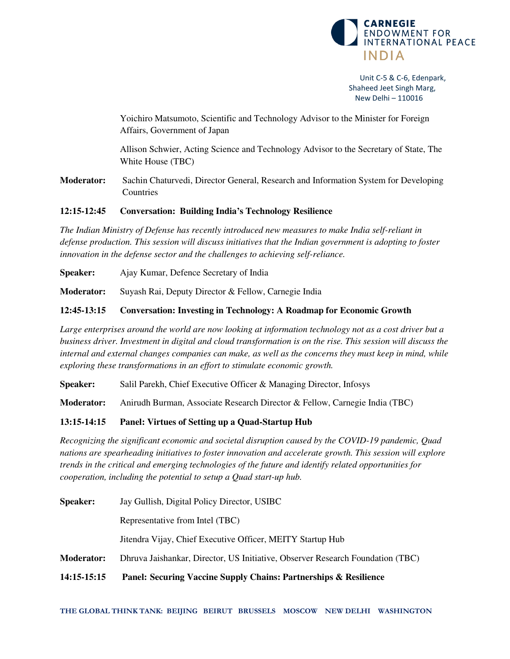

 Yoichiro Matsumoto, Scientific and Technology Advisor to the Minister for Foreign Affairs, Government of Japan

Allison Schwier, Acting Science and Technology Advisor to the Secretary of State, The White House (TBC)

**Moderator:** Sachin Chaturvedi, Director General, Research and Information System for Developing Countries

#### **12:15-12:45 Conversation: Building India's Technology Resilience**

*The Indian Ministry of Defense has recently introduced new measures to make India self-reliant in defense production. This session will discuss initiatives that the Indian government is adopting to foster innovation in the defense sector and the challenges to achieving self-reliance.* 

**Speaker:** Ajay Kumar, Defence Secretary of India

**Moderator:** Suyash Rai, Deputy Director & Fellow, Carnegie India

# **12:45-13:15 Conversation: Investing in Technology: A Roadmap for Economic Growth**

*Large enterprises around the world are now looking at information technology not as a cost driver but a business driver. Investment in digital and cloud transformation is on the rise. This session will discuss the internal and external changes companies can make, as well as the concerns they must keep in mind, while exploring these transformations in an effort to stimulate economic growth.*

**Speaker:** Salil Parekh, Chief Executive Officer & Managing Director, Infosys

**Moderator:** Anirudh Burman, Associate Research Director & Fellow, Carnegie India (TBC)

# **13:15-14:15 Panel: Virtues of Setting up a Quad-Startup Hub**

*Recognizing the significant economic and societal disruption caused by the COVID-19 pandemic, Quad nations are spearheading initiatives to foster innovation and accelerate growth. This session will explore trends in the critical and emerging technologies of the future and identify related opportunities for cooperation, including the potential to setup a Quad start-up hub.* 

| 14:15-15:15       | <b>Panel: Securing Vaccine Supply Chains: Partnerships &amp; Resilience</b>    |
|-------------------|--------------------------------------------------------------------------------|
| <b>Moderator:</b> | Dhruva Jaishankar, Director, US Initiative, Observer Research Foundation (TBC) |
|                   | Jitendra Vijay, Chief Executive Officer, MEITY Startup Hub                     |
|                   | Representative from Intel (TBC)                                                |
| <b>Speaker:</b>   | Jay Gullish, Digital Policy Director, USIBC                                    |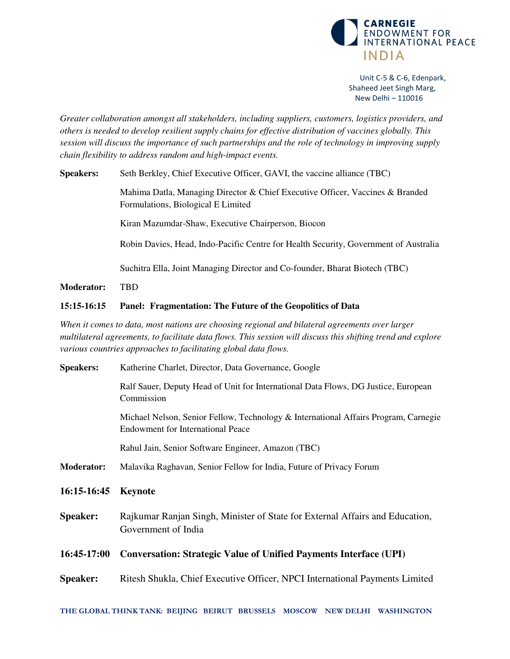

*Greater collaboration amongst all stakeholders, including suppliers, customers, logistics providers, and others is needed to develop resilient supply chains for effective distribution of vaccines globally. This session will discuss the importance of such partnerships and the role of technology in improving supply chain flexibility to address random and high-impact events.* 

**Speakers:** Seth Berkley, Chief Executive Officer, GAVI, the vaccine alliance (TBC)

Mahima Datla, Managing Director & Chief Executive Officer, Vaccines & Branded Formulations, Biological E Limited

Kiran Mazumdar-Shaw, Executive Chairperson, Biocon

Robin Davies, Head, Indo-Pacific Centre for Health Security, Government of Australia

Suchitra Ella, Joint Managing Director and Co-founder, Bharat Biotech (TBC)

**Moderator:** TBD

#### **15:15-16:15 Panel: Fragmentation: The Future of the Geopolitics of Data**

*When it comes to data, most nations are choosing regional and bilateral agreements over larger multilateral agreements, to facilitate data flows. This session will discuss this shifting trend and explore various countries approaches to facilitating global data flows.* 

| <b>Speakers:</b>  | Katherine Charlet, Director, Data Governance, Google                                                                            |
|-------------------|---------------------------------------------------------------------------------------------------------------------------------|
|                   | Ralf Sauer, Deputy Head of Unit for International Data Flows, DG Justice, European<br>Commission                                |
|                   | Michael Nelson, Senior Fellow, Technology & International Affairs Program, Carnegie<br><b>Endowment for International Peace</b> |
|                   | Rahul Jain, Senior Software Engineer, Amazon (TBC)                                                                              |
| <b>Moderator:</b> | Malavika Raghavan, Senior Fellow for India, Future of Privacy Forum                                                             |
| 16:15-16:45       | <b>Keynote</b>                                                                                                                  |
| <b>Speaker:</b>   | Rajkumar Ranjan Singh, Minister of State for External Affairs and Education,<br>Government of India                             |
| 16:45-17:00       | <b>Conversation: Strategic Value of Unified Payments Interface (UPI)</b>                                                        |
| <b>Speaker:</b>   | Ritesh Shukla, Chief Executive Officer, NPCI International Payments Limited                                                     |
|                   |                                                                                                                                 |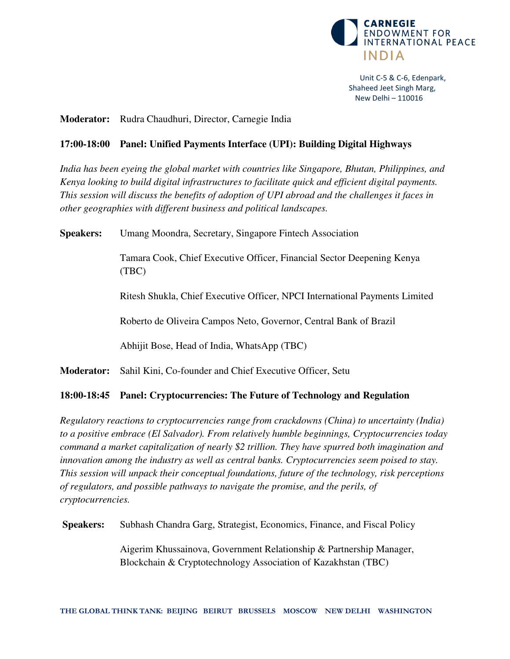

# **Moderator:** Rudra Chaudhuri, Director, Carnegie India

# **17:00-18:00 Panel: Unified Payments Interface (UPI): Building Digital Highways**

*India has been eyeing the global market with countries like Singapore, Bhutan, Philippines, and Kenya looking to build digital infrastructures to facilitate quick and efficient digital payments. This session will discuss the benefits of adoption of UPI abroad and the challenges it faces in other geographies with different business and political landscapes.* 

**Speakers:** Umang Moondra, Secretary, Singapore Fintech Association

Tamara Cook, Chief Executive Officer, Financial Sector Deepening Kenya (TBC)

Ritesh Shukla, Chief Executive Officer, NPCI International Payments Limited

Roberto de Oliveira Campos Neto, Governor, Central Bank of Brazil

Abhijit Bose, Head of India, WhatsApp (TBC)

**Moderator:** Sahil Kini, Co-founder and Chief Executive Officer, Setu

# **18:00-18:45 Panel: Cryptocurrencies: The Future of Technology and Regulation**

*Regulatory reactions to cryptocurrencies range from crackdowns (China) to uncertainty (India) to a positive embrace (El Salvador). From relatively humble beginnings, Cryptocurrencies today command a market capitalization of nearly \$2 trillion. They have spurred both imagination and innovation among the industry as well as central banks. Cryptocurrencies seem poised to stay. This session will unpack their conceptual foundations, future of the technology, risk perceptions of regulators, and possible pathways to navigate the promise, and the perils, of cryptocurrencies.* 

**Speakers:** Subhash Chandra Garg, Strategist, Economics, Finance, and Fiscal Policy

Aigerim Khussainova, Government Relationship & Partnership Manager, Blockchain & Cryptotechnology Association of Kazakhstan (TBC)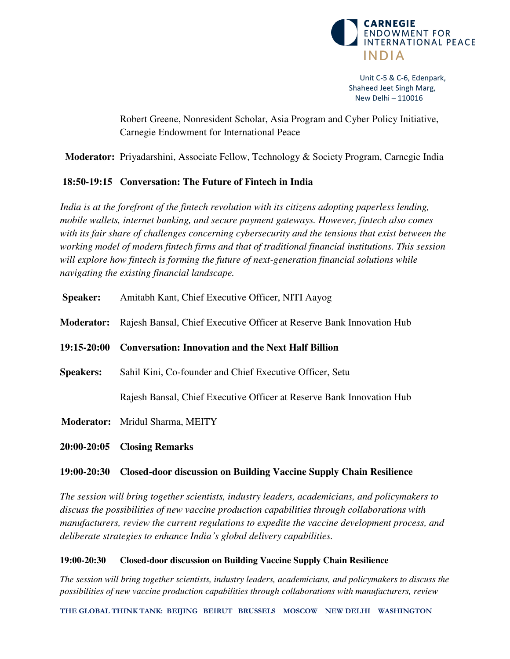

Robert Greene, Nonresident Scholar, Asia Program and Cyber Policy Initiative, Carnegie Endowment for International Peace

**Moderator:** Priyadarshini, Associate Fellow, Technology & Society Program, Carnegie India

# **18:50-19:15 Conversation: The Future of Fintech in India**

*India is at the forefront of the fintech revolution with its citizens adopting paperless lending, mobile wallets, internet banking, and secure payment gateways. However, fintech also comes with its fair share of challenges concerning cybersecurity and the tensions that exist between the working model of modern fintech firms and that of traditional financial institutions. This session will explore how fintech is forming the future of next-generation financial solutions while navigating the existing financial landscape.* 

|                   | $20:00-20:05$ Closing Remarks                                         |
|-------------------|-----------------------------------------------------------------------|
|                   | <b>Moderator:</b> Mridul Sharma, MEITY                                |
|                   | Rajesh Bansal, Chief Executive Officer at Reserve Bank Innovation Hub |
| <b>Speakers:</b>  | Sahil Kini, Co-founder and Chief Executive Officer, Setu              |
| $19:15 - 20:00$   | <b>Conversation: Innovation and the Next Half Billion</b>             |
| <b>Moderator:</b> | Rajesh Bansal, Chief Executive Officer at Reserve Bank Innovation Hub |
| <b>Speaker:</b>   | Amitabh Kant, Chief Executive Officer, NITI Aayog                     |

# **19:00-20:30 Closed-door discussion on Building Vaccine Supply Chain Resilience**

*The session will bring together scientists, industry leaders, academicians, and policymakers to discuss the possibilities of new vaccine production capabilities through collaborations with manufacturers, review the current regulations to expedite the vaccine development process, and deliberate strategies to enhance India's global delivery capabilities.* 

# **19:00-20:30 Closed-door discussion on Building Vaccine Supply Chain Resilience**

*The session will bring together scientists, industry leaders, academicians, and policymakers to discuss the possibilities of new vaccine production capabilities through collaborations with manufacturers, review*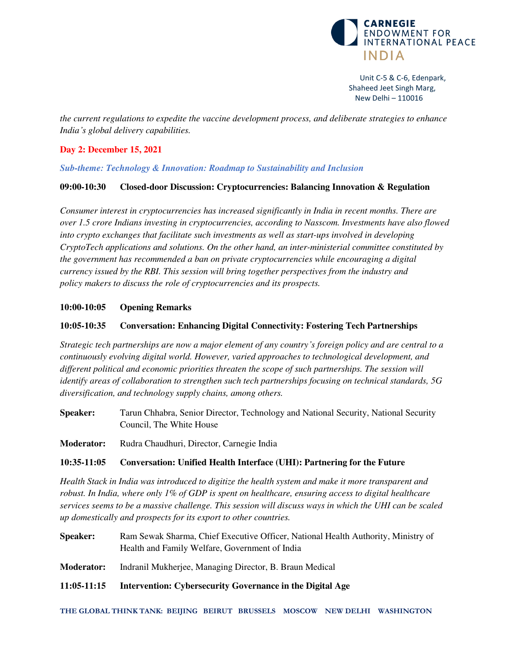

*the current regulations to expedite the vaccine development process, and deliberate strategies to enhance India's global delivery capabilities.* 

# **Day 2: December 15, 2021**

*Sub-theme: Technology & Innovation: Roadmap to Sustainability and Inclusion* 

#### **09:00-10:30 Closed-door Discussion: Cryptocurrencies: Balancing Innovation & Regulation**

*Consumer interest in cryptocurrencies has increased significantly in India in recent months. There are over 1.5 crore Indians investing in cryptocurrencies, according to Nasscom. Investments have also flowed into crypto exchanges that facilitate such investments as well as start-ups involved in developing CryptoTech applications and solutions. On the other hand, an inter-ministerial committee constituted by the government has recommended a ban on private cryptocurrencies while encouraging a digital currency issued by the RBI. This session will bring together perspectives from the industry and policy makers to discuss the role of cryptocurrencies and its prospects.* 

# **10:00-10:05 Opening Remarks**

#### **10:05-10:35 Conversation: Enhancing Digital Connectivity: Fostering Tech Partnerships**

*Strategic tech partnerships are now a major element of any country's foreign policy and are central to a continuously evolving digital world. However, varied approaches to technological development, and different political and economic priorities threaten the scope of such partnerships. The session will identify areas of collaboration to strengthen such tech partnerships focusing on technical standards, 5G diversification, and technology supply chains, among others.* 

**Speaker:** Tarun Chhabra, Senior Director, Technology and National Security, National Security Council, The White House

**Moderator:** Rudra Chaudhuri, Director, Carnegie India

#### **10:35-11:05 Conversation: Unified Health Interface (UHI): Partnering for the Future**

*Health Stack in India was introduced to digitize the health system and make it more transparent and robust. In India, where only 1% of GDP is spent on healthcare, ensuring access to digital healthcare services seems to be a massive challenge. This session will discuss ways in which the UHI can be scaled up domestically and prospects for its export to other countries.* 

**Speaker:** Ram Sewak Sharma, Chief Executive Officer, National Health Authority, Ministry of Health and Family Welfare, Government of India

**Moderator:** Indranil Mukherjee, Managing Director, B. Braun Medical

**11:05-11:15 Intervention: Cybersecurity Governance in the Digital Age**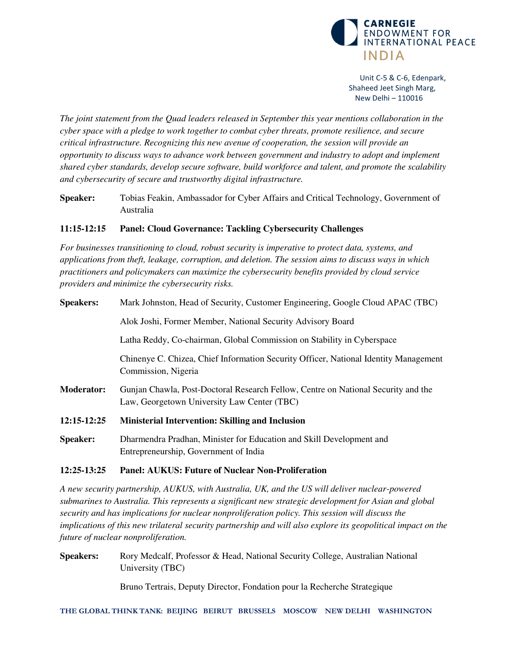

*The joint statement from the Quad leaders released in September this year mentions collaboration in the cyber space with a pledge to work together to combat cyber threats, promote resilience, and secure critical infrastructure. Recognizing this new avenue of cooperation, the session will provide an opportunity to discuss ways to advance work between government and industry to adopt and implement shared cyber standards, develop secure software, build workforce and talent, and promote the scalability and cybersecurity of secure and trustworthy digital infrastructure.* 

**Speaker:** Tobias Feakin, Ambassador for Cyber Affairs and Critical Technology, Government of Australia

# **11:15-12:15 Panel: Cloud Governance: Tackling Cybersecurity Challenges**

*For businesses transitioning to cloud, robust security is imperative to protect data, systems, and applications from theft, leakage, corruption, and deletion. The session aims to discuss ways in which practitioners and policymakers can maximize the cybersecurity benefits provided by cloud service providers and minimize the cybersecurity risks.* 

| <b>Speakers:</b>  | Mark Johnston, Head of Security, Customer Engineering, Google Cloud APAC (TBC)                                                   |
|-------------------|----------------------------------------------------------------------------------------------------------------------------------|
|                   | Alok Joshi, Former Member, National Security Advisory Board                                                                      |
|                   | Latha Reddy, Co-chairman, Global Commission on Stability in Cyberspace                                                           |
|                   | Chinenye C. Chizea, Chief Information Security Officer, National Identity Management<br>Commission, Nigeria                      |
| <b>Moderator:</b> | Gunjan Chawla, Post-Doctoral Research Fellow, Centre on National Security and the<br>Law, Georgetown University Law Center (TBC) |
| 12:15-12:25       | <b>Ministerial Intervention: Skilling and Inclusion</b>                                                                          |
| <b>Speaker:</b>   | Dharmendra Pradhan, Minister for Education and Skill Development and<br>Entrepreneurship, Government of India                    |

#### **12:25-13:25 Panel: AUKUS: Future of Nuclear Non-Proliferation**

*A new security partnership, AUKUS, with Australia, UK, and the US will deliver nuclear-powered submarines to Australia. This represents a significant new strategic development for Asian and global security and has implications for nuclear nonproliferation policy. This session will discuss the implications of this new trilateral security partnership and will also explore its geopolitical impact on the future of nuclear nonproliferation.* 

**Speakers:** Rory Medcalf, Professor & Head, National Security College, Australian National University (TBC)

Bruno Tertrais, Deputy Director, Fondation pour la Recherche Strategique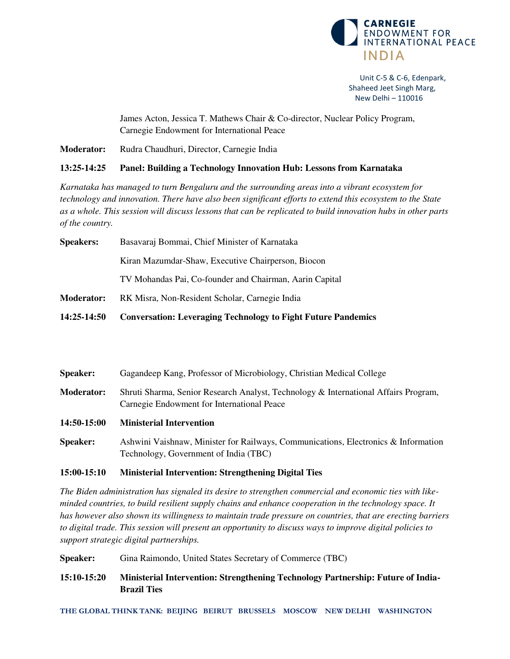

 James Acton, Jessica T. Mathews Chair & Co-director, Nuclear Policy Program, Carnegie Endowment for International Peace

**Moderator:** Rudra Chaudhuri, Director, Carnegie India

#### **13:25-14:25 Panel: Building a Technology Innovation Hub: Lessons from Karnataka**

*Karnataka has managed to turn Bengaluru and the surrounding areas into a vibrant ecosystem for technology and innovation. There have also been significant efforts to extend this ecosystem to the State as a whole. This session will discuss lessons that can be replicated to build innovation hubs in other parts of the country.* 

| <b>Speakers:</b>  | Basavaraj Bommai, Chief Minister of Karnataka                        |
|-------------------|----------------------------------------------------------------------|
|                   | Kiran Mazumdar-Shaw, Executive Chairperson, Biocon                   |
|                   | TV Mohandas Pai, Co-founder and Chairman, Aarin Capital              |
| <b>Moderator:</b> | RK Misra, Non-Resident Scholar, Carnegie India                       |
| 14:25-14:50       | <b>Conversation: Leveraging Technology to Fight Future Pandemics</b> |
|                   |                                                                      |

| <b>Speaker:</b>   | Gagandeep Kang, Professor of Microbiology, Christian Medical College                                                              |
|-------------------|-----------------------------------------------------------------------------------------------------------------------------------|
| <b>Moderator:</b> | Shruti Sharma, Senior Research Analyst, Technology & International Affairs Program,<br>Carnegie Endowment for International Peace |
| 14:50-15:00       | <b>Ministerial Intervention</b>                                                                                                   |
| <b>Speaker:</b>   | Ashwini Vaishnaw, Minister for Railways, Communications, Electronics & Information<br>Technology, Government of India (TBC)       |

#### **15:00-15:10 Ministerial Intervention: Strengthening Digital Ties**

*The Biden administration has signaled its desire to strengthen commercial and economic ties with likeminded countries, to build resilient supply chains and enhance cooperation in the technology space. It has however also shown its willingness to maintain trade pressure on countries, that are erecting barriers to digital trade. This session will present an opportunity to discuss ways to improve digital policies to support strategic digital partnerships.* 

Speaker: Gina Raimondo, United States Secretary of Commerce (TBC)

**15:10-15:20 Ministerial Intervention: Strengthening Technology Partnership: Future of India-Brazil Ties**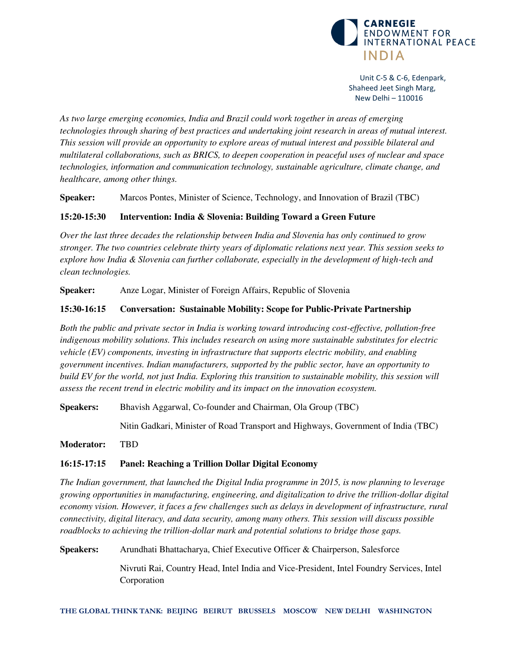

*As two large emerging economies, India and Brazil could work together in areas of emerging technologies through sharing of best practices and undertaking joint research in areas of mutual interest. This session will provide an opportunity to explore areas of mutual interest and possible bilateral and multilateral collaborations, such as BRICS, to deepen cooperation in peaceful uses of nuclear and space technologies, information and communication technology, sustainable agriculture, climate change, and healthcare, among other things.* 

**Speaker:** Marcos Pontes, Minister of Science, Technology, and Innovation of Brazil (TBC)

# **15:20-15:30 Intervention: India & Slovenia: Building Toward a Green Future**

*Over the last three decades the relationship between India and Slovenia has only continued to grow stronger. The two countries celebrate thirty years of diplomatic relations next year. This session seeks to explore how India & Slovenia can further collaborate, especially in the development of high-tech and clean technologies.* 

**Speaker:** Anze Logar, Minister of Foreign Affairs, Republic of Slovenia

# **15:30-16:15 Conversation: Sustainable Mobility: Scope for Public-Private Partnership**

*Both the public and private sector in India is working toward introducing cost-effective, pollution-free indigenous mobility solutions. This includes research on using more sustainable substitutes for electric vehicle (EV) components, investing in infrastructure that supports electric mobility, and enabling government incentives. Indian manufacturers, supported by the public sector, have an opportunity to build EV for the world, not just India. Exploring this transition to sustainable mobility, this session will assess the recent trend in electric mobility and its impact on the innovation ecosystem.* 

**Speakers:** Bhavish Aggarwal, Co-founder and Chairman, Ola Group (TBC)

Nitin Gadkari, Minister of Road Transport and Highways, Government of India (TBC)

**Moderator:** TBD

# **16:15-17:15 Panel: Reaching a Trillion Dollar Digital Economy**

*The Indian government, that launched the Digital India programme in 2015, is now planning to leverage growing opportunities in manufacturing, engineering, and digitalization to drive the trillion-dollar digital economy vision. However, it faces a few challenges such as delays in development of infrastructure, rural connectivity, digital literacy, and data security, among many others. This session will discuss possible roadblocks to achieving the trillion-dollar mark and potential solutions to bridge those gaps.* 

**Speakers:** Arundhati Bhattacharya, Chief Executive Officer & Chairperson, Salesforce

Nivruti Rai, Country Head, Intel India and Vice-President, Intel Foundry Services, Intel Corporation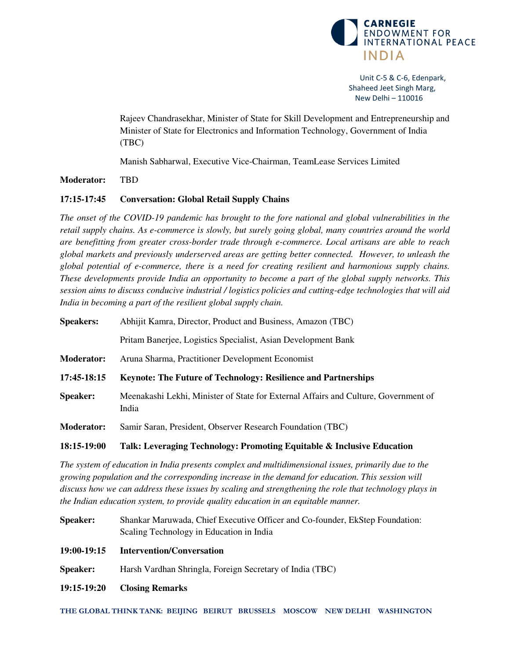

Rajeev Chandrasekhar, Minister of State for Skill Development and Entrepreneurship and Minister of State for Electronics and Information Technology, Government of India (TBC)

Manish Sabharwal, Executive Vice-Chairman, TeamLease Services Limited

#### **Moderator:** TBD

#### **17:15-17:45 Conversation: Global Retail Supply Chains**

*The onset of the COVID-19 pandemic has brought to the fore national and global vulnerabilities in the retail supply chains. As e-commerce is slowly, but surely going global, many countries around the world are benefitting from greater cross-border trade through e-commerce. Local artisans are able to reach global markets and previously underserved areas are getting better connected. However, to unleash the global potential of e-commerce, there is a need for creating resilient and harmonious supply chains. These developments provide India an opportunity to become a part of the global supply networks. This session aims to discuss conducive industrial / logistics policies and cutting-edge technologies that will aid India in becoming a part of the resilient global supply chain.* 

| <b>Speakers:</b>  | Abhijit Kamra, Director, Product and Business, Amazon (TBC)                                  |
|-------------------|----------------------------------------------------------------------------------------------|
|                   | Pritam Banerjee, Logistics Specialist, Asian Development Bank                                |
| <b>Moderator:</b> | Aruna Sharma, Practitioner Development Economist                                             |
| 17:45-18:15       | <b>Keynote: The Future of Technology: Resilience and Partnerships</b>                        |
| <b>Speaker:</b>   | Meenakashi Lekhi, Minister of State for External Affairs and Culture, Government of<br>India |
| <b>Moderator:</b> | Samir Saran, President, Observer Research Foundation (TBC)                                   |

#### **18:15-19:00 Talk: Leveraging Technology: Promoting Equitable & Inclusive Education**

*The system of education in India presents complex and multidimensional issues, primarily due to the growing population and the corresponding increase in the demand for education. This session will discuss how we can address these issues by scaling and strengthening the role that technology plays in the Indian education system, to provide quality education in an equitable manner.* 

- **Speaker:** Shankar Maruwada, Chief Executive Officer and Co-founder, EkStep Foundation: Scaling Technology in Education in India
- **19:00-19:15 Intervention/Conversation**
- **Speaker:** Harsh Vardhan Shringla, Foreign Secretary of India (TBC)
- **19:15-19:20 Closing Remarks**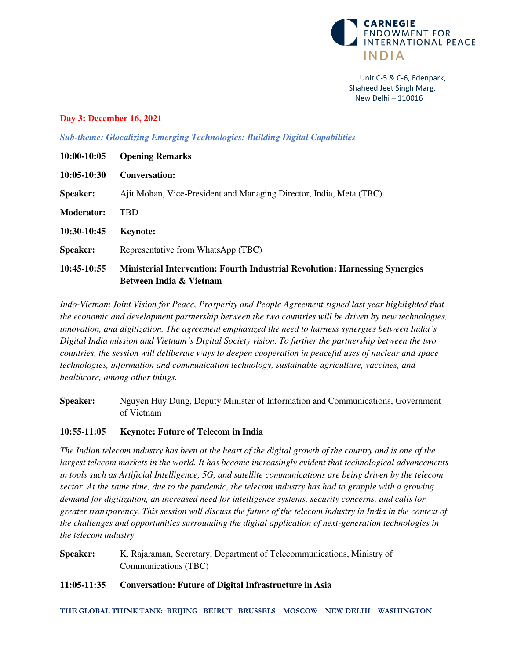

#### **Day 3: December 16, 2021**

*Sub-theme: Glocalizing Emerging Technologies: Building Digital Capabilities* 

| 10:00-10:05       | <b>Opening Remarks</b>                                                                                         |
|-------------------|----------------------------------------------------------------------------------------------------------------|
| $10:05-10:30$     | <b>Conversation:</b>                                                                                           |
| <b>Speaker:</b>   | Ajit Mohan, Vice-President and Managing Director, India, Meta (TBC)                                            |
| <b>Moderator:</b> | TBD                                                                                                            |
| 10:30-10:45       | <b>Keynote:</b>                                                                                                |
| <b>Speaker:</b>   | Representative from WhatsApp (TBC)                                                                             |
| 10:45-10:55       | <b>Ministerial Intervention: Fourth Industrial Revolution: Harnessing Synergies</b><br>Between India & Vietnam |

*Indo-Vietnam Joint Vision for Peace, Prosperity and People Agreement signed last year highlighted that the economic and development partnership between the two countries will be driven by new technologies, innovation, and digitization. The agreement emphasized the need to harness synergies between India's Digital India mission and Vietnam's Digital Society vision. To further the partnership between the two countries, the session will deliberate ways to deepen cooperation in peaceful uses of nuclear and space technologies, information and communication technology, sustainable agriculture, vaccines, and healthcare, among other things.* 

**Speaker:** Nguyen Huy Dung, Deputy Minister of Information and Communications, Government of Vietnam

#### **10:55-11:05 Keynote: Future of Telecom in India**

*The Indian telecom industry has been at the heart of the digital growth of the country and is one of the largest telecom markets in the world. It has become increasingly evident that technological advancements in tools such as Artificial Intelligence, 5G, and satellite communications are being driven by the telecom sector. At the same time, due to the pandemic, the telecom industry has had to grapple with a growing demand for digitization, an increased need for intelligence systems, security concerns, and calls for greater transparency. This session will discuss the future of the telecom industry in India in the context of the challenges and opportunities surrounding the digital application of next-generation technologies in the telecom industry.* 

**Speaker:** K. Rajaraman, Secretary, Department of Telecommunications, Ministry of Communications (TBC)

#### **11:05-11:35 Conversation: Future of Digital Infrastructure in Asia**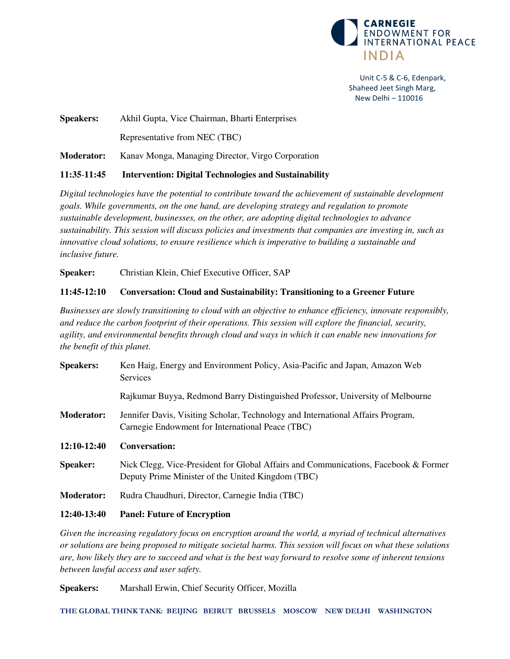

**Speakers:** Akhil Gupta, Vice Chairman, Bharti Enterprises Representative from NEC (TBC)

**Moderator:** Kanav Monga, Managing Director, Virgo Corporation

# **11:35**-**11:45 Intervention: Digital Technologies and Sustainability**

*Digital technologies have the potential to contribute toward the achievement of sustainable development goals. While governments, on the one hand, are developing strategy and regulation to promote sustainable development, businesses, on the other, are adopting digital technologies to advance sustainability. This session will discuss policies and investments that companies are investing in, such as innovative cloud solutions, to ensure resilience which is imperative to building a sustainable and inclusive future.* 

**Speaker:** Christian Klein, Chief Executive Officer, SAP

# **11:45-12:10 Conversation: Cloud and Sustainability: Transitioning to a Greener Future**

*Businesses are slowly transitioning to cloud with an objective to enhance efficiency, innovate responsibly, and reduce the carbon footprint of their operations. This session will explore the financial, security, agility, and environmental benefits through cloud and ways in which it can enable new innovations for the benefit of this planet.* 

| <b>Speakers:</b>  | Ken Haig, Energy and Environment Policy, Asia-Pacific and Japan, Amazon Web<br>Services                                                  |
|-------------------|------------------------------------------------------------------------------------------------------------------------------------------|
|                   | Rajkumar Buyya, Redmond Barry Distinguished Professor, University of Melbourne                                                           |
| <b>Moderator:</b> | Jennifer Davis, Visiting Scholar, Technology and International Affairs Program,<br>Carnegie Endowment for International Peace (TBC)      |
| $12:10-12:40$     | <b>Conversation:</b>                                                                                                                     |
| <b>Speaker:</b>   |                                                                                                                                          |
|                   | Nick Clegg, Vice-President for Global Affairs and Communications, Facebook & Former<br>Deputy Prime Minister of the United Kingdom (TBC) |
| <b>Moderator:</b> | Rudra Chaudhuri, Director, Carnegie India (TBC)                                                                                          |

**12:40-13:40 Panel: Future of Encryption** 

*Given the increasing regulatory focus on encryption around the world, a myriad of technical alternatives or solutions are being proposed to mitigate societal harms. This session will focus on what these solutions are, how likely they are to succeed and what is the best way forward to resolve some of inherent tensions between lawful access and user safety.* 

**Speakers:** Marshall Erwin, Chief Security Officer, Mozilla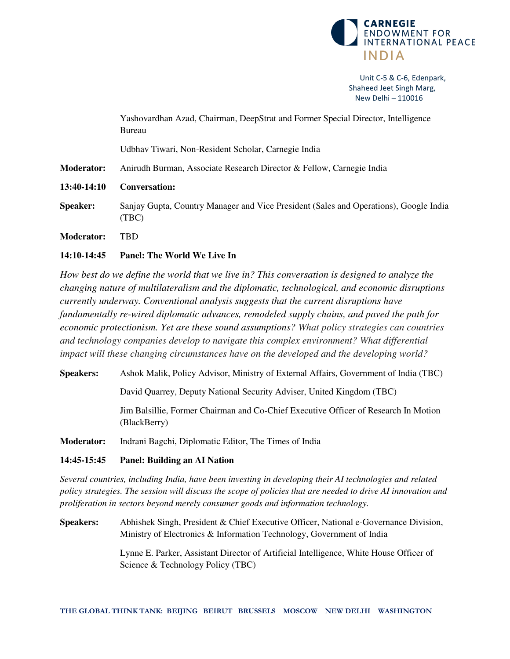

|                   | Yashovardhan Azad, Chairman, DeepStrat and Former Special Director, Intelligence<br>Bureau     |
|-------------------|------------------------------------------------------------------------------------------------|
|                   | Udbhav Tiwari, Non-Resident Scholar, Carnegie India                                            |
| <b>Moderator:</b> | Anirudh Burman, Associate Research Director & Fellow, Carnegie India                           |
| 13:40-14:10       | <b>Conversation:</b>                                                                           |
| <b>Speaker:</b>   | Sanjay Gupta, Country Manager and Vice President (Sales and Operations), Google India<br>(TBC) |
| <b>Moderator:</b> | <b>TBD</b>                                                                                     |
| 14:10-14:45       | Panel: The World We Live In                                                                    |

*How best do we define the world that we live in? This conversation is designed to analyze the changing nature of multilateralism and the diplomatic, technological, and economic disruptions currently underway. Conventional analysis suggests that the current disruptions have fundamentally re-wired diplomatic advances, remodeled supply chains, and paved the path for economic protectionism. Yet are these sound assumptions? What policy strategies can countries and technology companies develop to navigate this complex environment? What differential impact will these changing circumstances have on the developed and the developing world?*

**Speakers:** Ashok Malik, Policy Advisor, Ministry of External Affairs, Government of India (TBC)

David Quarrey, Deputy National Security Adviser, United Kingdom (TBC)

Jim Balsillie, Former Chairman and Co-Chief Executive Officer of Research In Motion (BlackBerry)

**Moderator:** Indrani Bagchi, Diplomatic Editor, The Times of India

# **14:45-15:45 Panel: Building an AI Nation**

*Several countries, including India, have been investing in developing their AI technologies and related policy strategies. The session will discuss the scope of policies that are needed to drive AI innovation and proliferation in sectors beyond merely consumer goods and information technology.* 

**Speakers:** Abhishek Singh, President & Chief Executive Officer, National e-Governance Division, Ministry of Electronics & Information Technology, Government of India

> Lynne E. Parker, Assistant Director of Artificial Intelligence, White House Officer of Science & Technology Policy (TBC)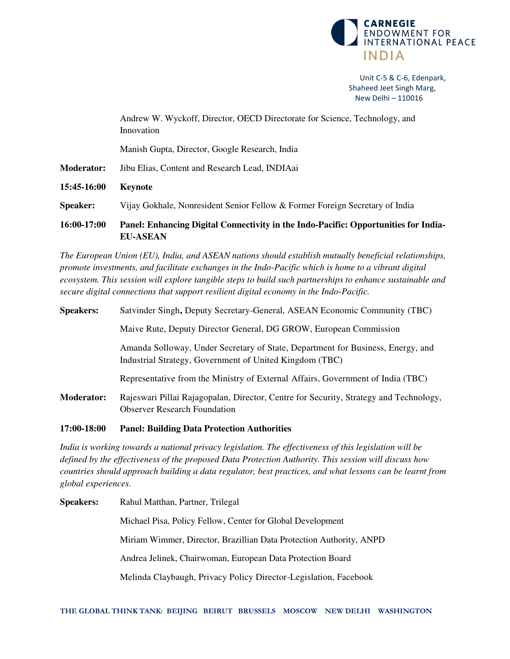

|                   | Andrew W. Wyckoff, Director, OECD Directorate for Science, Technology, and<br>Innovation               |
|-------------------|--------------------------------------------------------------------------------------------------------|
|                   | Manish Gupta, Director, Google Research, India                                                         |
| <b>Moderator:</b> | Jibu Elias, Content and Research Lead, INDIAai                                                         |
| 15:45-16:00       | Keynote                                                                                                |
| <b>Speaker:</b>   | Vijay Gokhale, Nonresident Senior Fellow & Former Foreign Secretary of India                           |
| 16:00-17:00       | Panel: Enhancing Digital Connectivity in the Indo-Pacific: Opportunities for India-<br><b>EU-ASEAN</b> |

*The European Union (EU), India, and ASEAN nations should establish mutually beneficial relationships, promote investments, and facilitate exchanges in the Indo-Pacific which is home to a vibrant digital ecosystem. This session will explore tangible steps to build such partnerships to enhance sustainable and secure digital connections that support resilient digital economy in the Indo-Pacific.* 

| <b>Speakers:</b>  | Satvinder Singh, Deputy Secretary-General, ASEAN Economic Community (TBC)                                                                  |
|-------------------|--------------------------------------------------------------------------------------------------------------------------------------------|
|                   | Maive Rute, Deputy Director General, DG GROW, European Commission                                                                          |
|                   | Amanda Solloway, Under Secretary of State, Department for Business, Energy, and<br>Industrial Strategy, Government of United Kingdom (TBC) |
|                   | Representative from the Ministry of External Affairs, Government of India (TBC)                                                            |
| <b>Moderator:</b> | Rajeswari Pillai Rajagopalan, Director, Centre for Security, Strategy and Technology,<br><b>Observer Research Foundation</b>               |

#### **17:00-18:00 Panel: Building Data Protection Authorities**

*India is working towards a national privacy legislation. The effectiveness of this legislation will be defined by the effectiveness of the proposed Data Protection Authority. This session will discuss how countries should approach building a data regulator, best practices, and what lessons can be learnt from global experiences.* 

**Speakers:** Rahul Matthan, Partner, Trilegal Michael Pisa, Policy Fellow, Center for Global Development Miriam Wimmer, Director, Brazillian Data Protection Authority, ANPD Andrea Jelinek, Chairwoman, European Data Protection Board Melinda Claybaugh, Privacy Policy Director-Legislation, Facebook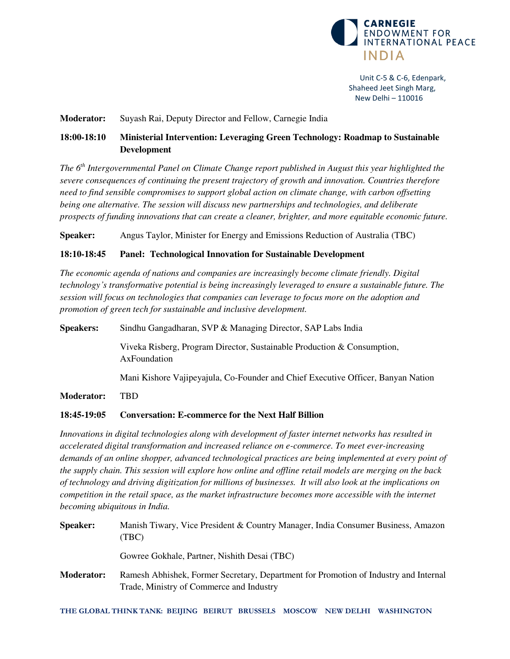

#### **Moderator:** Suyash Rai, Deputy Director and Fellow, Carnegie India

# **18:00-18:10 Ministerial Intervention: Leveraging Green Technology: Roadmap to Sustainable Development**

*The 6th Intergovernmental Panel on Climate Change report published in August this year highlighted the severe consequences of continuing the present trajectory of growth and innovation. Countries therefore need to find sensible compromises to support global action on climate change, with carbon offsetting being one alternative. The session will discuss new partnerships and technologies, and deliberate prospects of funding innovations that can create a cleaner, brighter, and more equitable economic future.* 

**Speaker:** Angus Taylor, Minister for Energy and Emissions Reduction of Australia (TBC)

# **18:10-18:45 Panel: Technological Innovation for Sustainable Development**

*The economic agenda of nations and companies are increasingly become climate friendly. Digital technology's transformative potential is being increasingly leveraged to ensure a sustainable future. The session will focus on technologies that companies can leverage to focus more on the adoption and promotion of green tech for sustainable and inclusive development.* 

**Speakers:** Sindhu Gangadharan, SVP & Managing Director, SAP Labs India Viveka Risberg, Program Director, Sustainable Production & Consumption,

AxFoundation

Mani Kishore Vajipeyajula, Co-Founder and Chief Executive Officer, Banyan Nation

**Moderator:** TBD

#### **18:45-19:05 Conversation: E-commerce for the Next Half Billion**

*Innovations in digital technologies along with development of faster internet networks has resulted in accelerated digital transformation and increased reliance on e-commerce. To meet ever-increasing demands of an online shopper, advanced technological practices are being implemented at every point of the supply chain. This session will explore how online and offline retail models are merging on the back of technology and driving digitization for millions of businesses. It will also look at the implications on competition in the retail space, as the market infrastructure becomes more accessible with the internet becoming ubiquitous in India.* 

| <b>Speaker:</b>   | Manish Tiwary, Vice President & Country Manager, India Consumer Business, Amazon<br>(TBC)                                        |
|-------------------|----------------------------------------------------------------------------------------------------------------------------------|
|                   | Gowree Gokhale, Partner, Nishith Desai (TBC)                                                                                     |
| <b>Moderator:</b> | Ramesh Abhishek, Former Secretary, Department for Promotion of Industry and Internal<br>Trade, Ministry of Commerce and Industry |